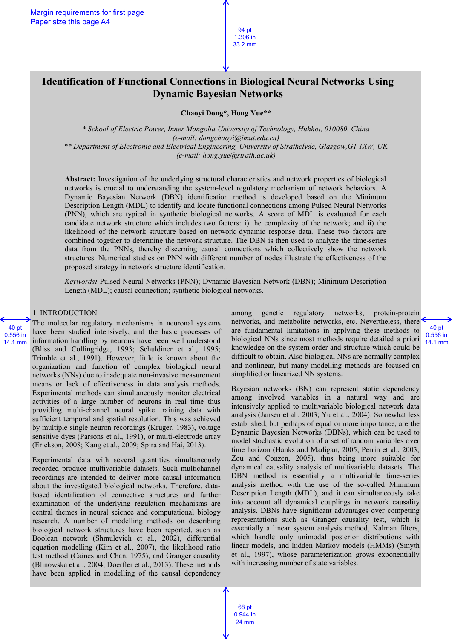# **Identification of Functional Connections in Biological Neural Networks Using Dynamic Bayesian Networks**

**Chaoyi Dong\*, Hong Yue\*\***

*\* School of Electric Power, Inner Mongolia University of Technology, Huhhot, 010080, China (e-mail: dongchaoyi@imut.edu.cn) \*\* Department of Electronic and Electrical Engineering, University of Strathclyde, Glasgow,G1 1XW, UK (e-mail: hong.yue@strath.ac.uk)*

**Abstract:** Investigation of the underlying structural characteristics and network properties of biological networks is crucial to understanding the system-level regulatory mechanism of network behaviors. A Dynamic Bayesian Network (DBN) identification method is developed based on the Minimum Description Length (MDL) to identify and locate functional connections among Pulsed Neural Networks (PNN), which are typical in synthetic biological networks. A score of MDL is evaluated for each candidate network structure which includes two factors: i) the complexity of the network; and ii) the likelihood of the network structure based on network dynamic response data. These two factors are combined together to determine the network structure. The DBN is then used to analyze the time-series data from the PNNs, thereby discerning causal connections which collectively show the network structures. Numerical studies on PNN with different number of nodes illustrate the effectiveness of the proposed strategy in network structure identification.

*Keywords:* Pulsed Neural Networks (PNN); Dynamic Bayesian Network (DBN); Minimum Description Length (MDL); causal connection; synthetic biological networks.

## 1. INTRODUCTION

40 pt 0.556 in 14.1 mm

The molecular regulatory mechanisms in neuronal systems have been studied intensively, and the basic processes of information handling by neurons have been well understood (Bliss and Collingridge, 1993; Schuldiner et al., 1995; Trimble et al., 1991). However, little is known about the organization and function of complex biological neural networks (NNs) due to inadequate non-invasive measurement means or lack of effectiveness in data analysis methods. Experimental methods can simultaneously monitor electrical activities of a large number of neurons in real time thus providing multi-channel neural spike training data with sufficient temporal and spatial resolution. This was achieved by multiple single neuron recordings (Kruger, 1983), voltage sensitive dyes (Parsons et al., 1991), or multi-electrode array (Erickson, 2008; Kang et al., 2009; Spira and Hai, 2013).

Experimental data with several quantities simultaneously recorded produce multivariable datasets. Such multichannel recordings are intended to deliver more causal information about the investigated biological networks. Therefore, databased identification of connective structures and further examination of the underlying regulation mechanisms are central themes in neural science and computational biology research. A number of modelling methods on describing biological network structures have been reported, such as Boolean network (Shmulevich et al., 2002), differential equation modelling (Kim et al., 2007), the likelihood ratio test method (Caines and Chan, 1975), and Granger causality (Blinowska et al., 2004; Doerfler et al., 2013). These methods have been applied in modelling of the causal dependency

among genetic regulatory networks, protein-protein networks, and metabolite networks, etc. Nevertheless, there are fundamental limitations in applying these methods to biological NNs since most methods require detailed a priori knowledge on the system order and structure which could be difficult to obtain. Also biological NNs are normally complex and nonlinear, but many modelling methods are focused on simplified or linearized NN systems.

Bayesian networks (BN) can represent static dependency among involved variables in a natural way and are intensively applied to multivariable biological network data analysis (Jansen et al., 2003; Yu et al., 2004). Somewhat less established, but perhaps of equal or more importance, are the Dynamic Bayesian Networks (DBNs), which can be used to model stochastic evolution of a set of random variables over time horizon (Hanks and Madigan, 2005; Perrin et al., 2003; Zou and Conzen, 2005), thus being more suitable for dynamical causality analysis of multivariable datasets. The DBN method is essentially a multivariable time-series analysis method with the use of the so-called Minimum Description Length (MDL), and it can simultaneously take into account all dynamical couplings in network causality analysis. DBNs have significant advantages over competing representations such as Granger causality test, which is essentially a linear system analysis method, Kalman filters, which handle only unimodal posterior distributions with linear models, and hidden Markov models (HMMs) (Smyth et al., 1997), whose parameterization grows exponentially with increasing number of state variables.

40 pt 0.556 in 14.1 mm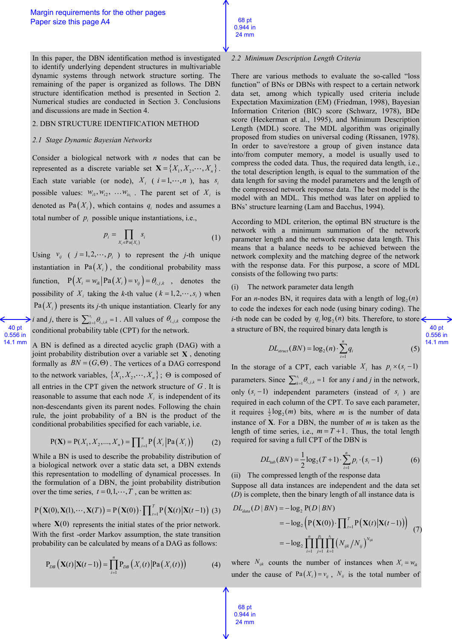In this paper, the DBN identification method is investigated to identify underlying dependent structures in multivariable dynamic systems through network structure sorting. The remaining of the paper is organized as follows. The DBN structure identification method is presented in Section 2. Numerical studies are conducted in Section 3. Conclusions and discussions are made in Section 4.

## 2. DBN STRUCTURE IDENTIFICATION METHOD

## *2.1 Stage Dynamic Bayesian Networks*

40 pt 0.556 in 14.1 mm Consider a biological network with *n* nodes that can be represented as a discrete variable set  $\mathbf{X} = \{X_1, X_2, \dots, X_n\}$ . Each state variable (or node),  $X_i$  ( $i = 1, \dots, n$ ), has  $s_i$ possible values:  $w_{i1}, w_{i2}, \ldots w_{is_i}$ . The parent set of  $X_i$  is denoted as  $Pa(X_i)$ , which contains  $q_i$  nodes and assumes a total number of  $p_i$  possible unique instantiations, i.e.,

$$
p_i = \prod_{X_i \in \text{Pa}(X_i)} s_i \tag{1}
$$

Using  $v_{ij}$  (  $j = 1, 2, \dots, p_i$  ) to represent the *j*-th unique instantiation in  $Pa(X_i)$ , the conditional probability mass function,  $P(X_i = w_{ik} | Pa(X_i) = v_{ij}) = \theta_{i,j,k}$ , denotes the possibility of  $X_i$  taking the *k*-th value ( $k = 1, 2, \dots, s_i$ ) when  $Pa(X<sub>i</sub>)$  presents its *j*-th unique instantiation. Clearly for any *i* and *j*, there is  $\sum_{k=1}^{s_i} \theta_{i,j,k} = 1$  $\sum_{k=1}^{s_i} \theta_{i,j,k} = 1$ . All values of  $\theta_{i,j,k}$  compose the conditional probability table (CPT) for the network.

A BN is defined as a directed acyclic graph (DAG) with a joint probability distribution over a variable set **X** , denoting formally as  $BN = (G, \Theta)$ . The vertices of a DAG correspond to the network variables,  $\{X_1, X_2, \dots, X_n\}$ ;  $\Theta$  is composed of all entries in the CPT given the network structure of *G* . It is reasonable to assume that each node  $X_i$  is independent of its non-descendants given its parent nodes. Following the chain rule, the joint probability of a BN is the product of the conditional probabilities specified for each variable, i.e.

$$
P(X) = P(X_1, X_2, ..., X_n) = \prod_{i=1}^{n} P(X_i | Pa(X_i))
$$
 (2)

While a BN is used to describe the probability distribution of a biological network over a static data set, a DBN extends this representation to modelling of dynamical processes. In the formulation of a DBN, the joint probability distribution

over the time series, 
$$
t = 0, 1, \dots, T
$$
, can be written as:  
\n
$$
P(X(0), X(1), \dots, X(T)) = P(X(0)) \cdot \prod_{t=1}^{T} P(X(t) | X(t-1))
$$
 (3)

where  $X(0)$  represents the initial states of the prior network. With the first -order Markov assumption, the state transition probability can be calculated by means of a DAG as follows:

$$
P_{DB}\left(\mathbf{X}(t)\big|\mathbf{X}(t-1)\right) = \prod_{i=1}^{n} P_{DB}\left(X_i(t)\big| Pa\left(X_i(t)\right)\right) \tag{4}
$$

## *2.2 Minimum Description Length Criteria*

68 pt 0.944 in 24 mm

There are various methods to evaluate the so-called "loss function" of BNs or DBNs with respect to a certain network data set, among which typically used criteria include Expectation Maximization (EM) (Friedman, 1998), Bayesian Information Criterion (BIC) score (Schwarz, 1978), BDe score (Heckerman et al., 1995), and Minimum Description Length (MDL) score. The MDL algorithm was originally proposed from studies on universal coding (Rissanen, 1978). In order to save/restore a group of given instance data into/from computer memory, a model is usually used to compress the coded data. Thus, the required data length, i.e., the total description length, is equal to the summation of the data length for saving the model parameters and the length of the compressed network response data. The best model is the model with an MDL. This method was later on applied to BNs' structure learning (Lam and Bacchus, 1994).

According to MDL criterion, the optimal BN structure is the network with a minimum summation of the network parameter length and the network response data length. This means that a balance needs to be achieved between the network complexity and the matching degree of the network with the response data. For this purpose, a score of MDL consists of the following two parts:

## (i) The network parameter data length

For an *n*-nodes BN, it requires data with a length of  $log_2(n)$ to code the indexes for each node (using binary coding). The *i*-th node can be coded by  $q_i \log_2(n)$  bits. Therefore, to store a structure of BN, the required binary data length is

$$
DL_{struct}(BN) = \log_2(n) \cdot \sum_{i=1}^{n} q_i
$$
 (5)

In the storage of a CPT, each variable  $X_i$  has  $p_i \times (s_i - 1)$ parameters. Since  $\sum_{k=1}^{s_i} \theta_{i,j,k} = 1$  $\sum_{k=1}^{s_i} \theta_{i,j,k} = 1$  for any *i* and *j* in the network, only  $(s_i - 1)$  independent parameters (instead of  $s_i$ ) are required in each column of the CPT. To save each parameter, it requires  $\frac{1}{2} \log_2(m)$  bits, where *m* is the number of data instance of **X**. For a DBN, the number of *m* is taken as the length of time series, i.e.,  $m = T + 1$ . Thus, the total length required for saving a full CPT of the DBN is

$$
DL_{tab}(BN) = \frac{1}{2}\log_2(T+1)\cdot\sum_{i=1}^{n} p_i\cdot(s_i-1)
$$
 (6)

(ii) The compressed length of the response data

Suppose all data instances are independent and the data set

(D) is complete, then the binary length of all instance data is  
\n
$$
DL_{data}(D|BN) = -\log_2 P(D|BN)
$$
\n
$$
= -\log_2 \left( P(\mathbf{X}(0)) \cdot \prod_{t=1}^{T} P(\mathbf{X}(t) | \mathbf{X}(t-1)) \right)
$$
\n
$$
= -\log_2 \prod_{i=1}^{n} \prod_{j=1}^{p_i} \prod_{k=1}^{s_i} \left( N_{ijk} / N_{ij} \right)^{N_{ijk}}
$$
\n(7)

where  $N_{ijk}$  counts the number of instances when  $X_i = w_{ijk}$ under the cause of  $Pa(X_i) = v_{ij}$ ,  $N_{ij}$  is the total number of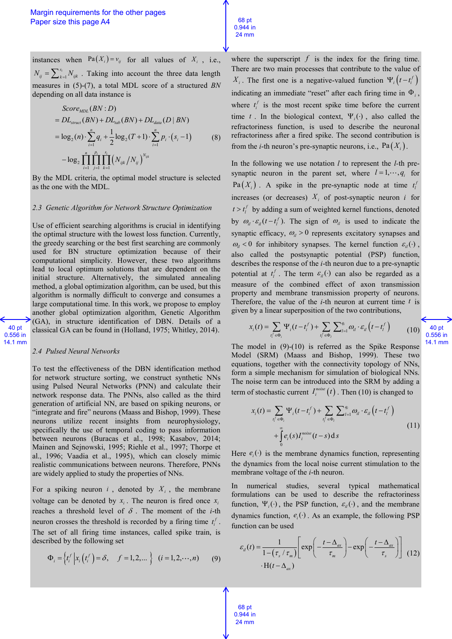instances when  $Pa(X_i) = v_{ij}$  for all values of  $X_i$ , i.e.,  $s_i$ <br> $k=1$  $N_{ij} = \sum_{k=1}^{s_i} N_{ijk}$ . Taking into account the three data length measures in (5)-(7), a total MDL score of a structured *BN*

depending on all data instance is  
\n
$$
Score_{MD}(BN : D)
$$
\n
$$
= DL_{struct}(BN) + DL_{lab}(BN) + DL_{data}(D | BN)
$$
\n
$$
= \log_2(n) \cdot \sum_{i=1}^{n} q_i + \frac{1}{2} \log_2(T + 1) \cdot \sum_{i=1}^{n} p_i \cdot (s_i - 1)
$$
\n
$$
- \log_2 \prod_{i=1}^{n} \prod_{j=1}^{p_i} \prod_{k=1}^{s_i} (N_{ijk} / N_{ij})^{N_{ijk}}
$$
\n(8)

By the MDL criteria, the optimal model structure is selected as the one with the MDL.

#### *2.3 Genetic Algorithm for Network Structure Optimization*

Use of efficient searching algorithms is crucial in identifying the optimal structure with the lowest loss function. Currently, the greedy searching or the best first searching are commonly used for BN structure optimization because of their computational simplicity. However, these two algorithms lead to local optimum solutions that are dependent on the initial structure. Alternatively, the simulated annealing method, a global optimization algorithm, can be used, but this algorithm is normally difficult to converge and consumes a large computational time. In this work, we propose to employ another global optimization algorithm, Genetic Algorithm (GA), in structure identification of DBN. Details of a classical GA can be found in (Holland, 1975; Whitley, 2014).

#### 40 pt 0.556 in 14.1 mm

#### *2.4 Pulsed Neural Networks*

To test the effectiveness of the DBN identification method for network structure sorting, we construct synthetic NNs using Pulsed Neural Networks (PNN) and calculate their network response data. The PNNs, also called as the third generation of artificial NN, are based on spiking neurons, or "integrate and fire" neurons (Maass and Bishop, 1999). These neurons utilize recent insights from neurophysiology, specifically the use of temporal coding to pass information between neurons (Buracas et al., 1998; Kasabov, 2014; Mainen and Sejnowski, 1995; Riehle et al., 1997; Thorpe et al., 1996; Vaadia et al., 1995), which can closely mimic realistic communications between neurons. Therefore, PNNs are widely applied to study the properties of NNs.

For a spiking neuron  $i$ , denoted by  $X_i$ , the membrane voltage can be denoted by  $x_i$ . The neuron is fired once  $x_i$ reaches a threshold level of  $\delta$ . The moment of the *i*-th neuron crosses the threshold is recorded by a firing time  $t_i^f$ . The set of all firing time instances, called spike train, is described by the following set

$$
\Phi_i = \left\{ t_i^f \, \middle| \, x_i \left( t_i^f \right) = \delta, \quad f = 1, 2, \dots \right\} \quad (i = 1, 2, \dots, n) \tag{9}
$$

where the superscript  $f$  is the index for the firing time. There are two main processes that contribute to the value of *X<sub>i</sub>*. The first one is a negative-valued function  $\Psi_i(t-t_i^f)$ indicating an immediate "reset" after each firing time in  $\Phi_i$ , where  $t_i^f$  is the most recent spike time before the current time t. In the biological context,  $\Psi_i(\cdot)$ , also called the refractoriness function, is used to describe the neuronal refractoriness after a fired spike. The second contribution is from the *i*-th neuron's pre-synaptic neurons, i.e.,  $Pa(X_i)$ .

68 pt 0.944 in 24 mm

In the following we use notation *l* to represent the *l-*th presynaptic neuron in the parent set, where  $l = 1, \dots, q_i$  for  $\text{Pa}(X_i)$ . A spike in the pre-synaptic node at time  $t_i^j$ increases (or decreases)  $X_i$  of post-synaptic neuron *i* for  $t > t_i^f$  by adding a sum of weighted kernel functions, denoted by  $\omega_{il} \cdot \varepsilon_{il} (t - t_i^f)$ . The sign of  $\omega_{il}$  is used to indicate the synaptic efficacy,  $\omega_{il} > 0$  represents excitatory synapses and  $\omega_{ii}$  < 0 for inhibitory synapses. The kernel function  $\varepsilon_{ii}(\cdot)$ , also called the postsynaptic potential (PSP) function, describes the response of the *i*-th neuron due to a pre-synaptic potential at  $t_i^f$ . The term  $\varepsilon_i(\cdot)$  can also be regarded as a measure of the combined effect of axon transmission property and membrane transmission property of neurons. Therefore, the value of the  $i$ -th neuron at current time  $t$  is

given by a linear superposition of the two contributions,  

$$
x_i(t) = \sum_{t_i^f \in \Phi_i} \Psi_i(t - t_i^f) + \sum_{t_i^f \in \Phi_i} \sum_{t=1}^{q_i} \omega_{it} \cdot \varepsilon_{it} \left(t - t_i^f\right)
$$
(10)

The model in (9)-(10) is referred as the Spike Response Model (SRM) (Maass and Bishop, 1999). These two equations, together with the connectivity topology of NNs, form a simple mechanism for simulation of biological NNs. The noise term can be introduced into the SRM by adding a

term of stochastic current 
$$
I_i^{noise}(t)
$$
. Then (10) is changed to  
\n
$$
x_i(t) = \sum_{t_i^f \in \Phi_i} \Psi_i(t - t_i^f) + \sum_{t_i^f \in \Phi_i} \sum_{t=1}^{q_i} \omega_{it} \cdot \varepsilon_{it} \left(t - t_i^f\right)
$$
\n
$$
+ \int_0^{\infty} e_i(s) I_i^{noise}(t - s) \, ds \tag{11}
$$

Here  $e_i(\cdot)$  is the membrane dynamics function, representing the dynamics from the local noise current stimulation to the membrane voltage of the *i*-th neuron.

In numerical studies, several typical mathematical formulations can be used to describe the refractoriness function,  $\Psi_i(\cdot)$ , the PSP function,  $\varepsilon_i(\cdot)$ , and the membrane dynamics function,  $e_i(\cdot)$ . As an example, the following PSP function can be used

action can be used  
\n
$$
\varepsilon_{il}(t) = \frac{1}{1 - (\tau_s / \tau_m)} \left[ \exp\left( -\frac{t - \Delta_{ax}}{\tau_m} \right) - \exp\left( -\frac{t - \Delta_{ax}}{\tau_s} \right) \right]
$$
\n(12)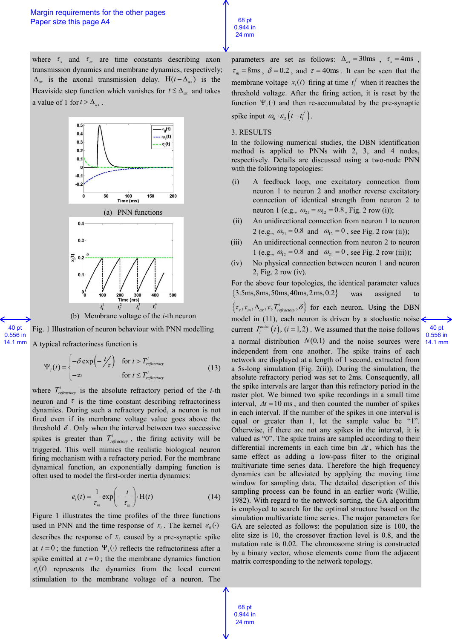where  $\tau_s$  and  $\tau_m$  are time constants describing axon transmission dynamics and membrane dynamics, respectively;  $\Delta_{ax}$  is the axonal transmission delay.  $H(t - \Delta_{ax})$  is the Heaviside step function which vanishes for  $t \leq \Delta_{ax}$  and takes a value of 1 for  $t > \Delta_{ax}$ .





40 pt 0.556 in 14.1 mm Fig. 1 Illustration of neuron behaviour with PNN modelling A typical refractoriness function is

$$
\Psi_i(t) = \begin{cases}\n-\delta \exp\left(-\frac{t}{\tau}\right) & \text{for } t > T_{refractory}^i \\
-\infty & \text{for } t \le T_{refractory}^i\n\end{cases}
$$
\n(13)

where  $T_{refractory}^i$  is the absolute refractory period of the *i*-th neuron and  $\tau$  is the time constant describing refractoriness dynamics. During such a refractory period, a neuron is not fired even if its membrane voltage value goes above the threshold  $\delta$ . Only when the interval between two successive spikes is greater than  $T_{refractory}^i$ , the firing activity will be triggered. This well mimics the realistic biological neuron firing mechanism with a refractory period. For the membrane dynamical function, an exponentially damping function is often used to model the first-order inertia dynamics:

$$
e_i(t) = \frac{1}{\tau_m} \exp\left(-\frac{t}{\tau_m}\right) \cdot \mathbf{H}(t)
$$
 (14)

Figure 1 illustrates the time profiles of the three functions used in PNN and the time response of  $x_i$ . The kernel  $\varepsilon_{ii}(\cdot)$ describes the response of  $x_i$  caused by a pre-synaptic spike at  $t = 0$ ; the function  $\Psi_i(\cdot)$  reflects the refractoriness after a spike emitted at  $t = 0$ ; the the membrane dynamics function  $e_i(t)$  represents the dynamics from the local current stimulation to the membrane voltage of a neuron. The

parameters are set as follows:  $\Delta_{ax} = 30 \text{ms}$ ,  $\tau_s = 4 \text{ms}$ ,  $\tau_m = 8 \text{ms}$ ,  $\delta = 0.2$ , and  $\tau = 40 \text{ms}$ . It can be seen that the membrane voltage  $x_i(t)$  firing at time  $t_i^f$  when it reaches the threshold voltage. After the firing action, it is reset by the function  $\Psi_i(\cdot)$  and then re-accumulated by the pre-synaptic spike input  $\omega_{il} \cdot \varepsilon_{il} \left( t - t_l^f \right)$ .

# 3. RESULTS

68 pt 0.944 in 24 mm

In the following numerical studies, the DBN identification method is applied to PNNs with 2, 3, and 4 nodes, respectively. Details are discussed using a two-node PNN with the following topologies:

- (i) A feedback loop, one excitatory connection from neuron 1 to neuron 2 and another reverse excitatory connection of identical strength from neuron 2 to neuron 1 (e.g.,  $\omega_{21} = \omega_{12} = 0.8$ , Fig. 2 row (i));
- (ii) An unidirectional connection from neuron 1 to neuron 2 (e.g.,  $\omega_{21} = 0.8$  and  $\omega_{12} = 0$ , see Fig. 2 row (ii));
- (iii) An unidirectional connection from neuron 2 to neuron 1 (e.g.,  $\omega_{12} = 0.8$  and  $\omega_{21} = 0$ , see Fig. 2 row (iii));
- (iv) No physical connection between neuron 1 and neuron 2, Fig. 2 row (iv).

For the above four topologies, the identical parameter values  ${3.5ms,8ms,50ms,40ms,2ms,0.2}$ was assigned

> 40 pt 0.556 in 14.1 mm

 $\{\tau_s, \tau_m, \Delta_{\alpha\alpha}, \tau, T_{refractory}^i, \delta\}$  for each neuron. Using the DBN model in (11), each neuron is driven by a stochastic noise current  $I_i^{noise}(t)$ ,  $(i = 1,2)$ . We assumed that the noise follows a normal distribution  $N(0,1)$  and the noise sources were independent from one another. The spike trains of each network are displayed at a length of 1 second, extracted from a 5s-long simulation (Fig. 2(ii)). During the simulation, the absolute refractory period was set to 2ms. Consequently, all the spike intervals are larger than this refractory period in the raster plot. We binned two spike recordings in a small time interval,  $\Delta t = 10$  ms, and then counted the number of spikes in each interval. If the number of the spikes in one interval is equal or greater than 1, let the sample value be "1". Otherwise, if there are not any spikes in the interval, it is valued as "0". The spike trains are sampled according to their differential increments in each time bin  $\Delta t$ , which has the same effect as adding a low-pass filter to the original multivariate time series data. Therefore the high frequency dynamics can be alleviated by applying the moving time window for sampling data. The detailed description of this sampling process can be found in an earlier work (Willie, 1982). With regard to the network sorting, the GA algorithm is employed to search for the optimal structure based on the simulation multivariate time series. The major parameters for GA are selected as follows: the population size is 100, the elite size is 10, the crossover fraction level is 0.8, and the mutation rate is 0.02. The chromosome string is constructed by a binary vector, whose elements come from the adjacent matrix corresponding to the network topology.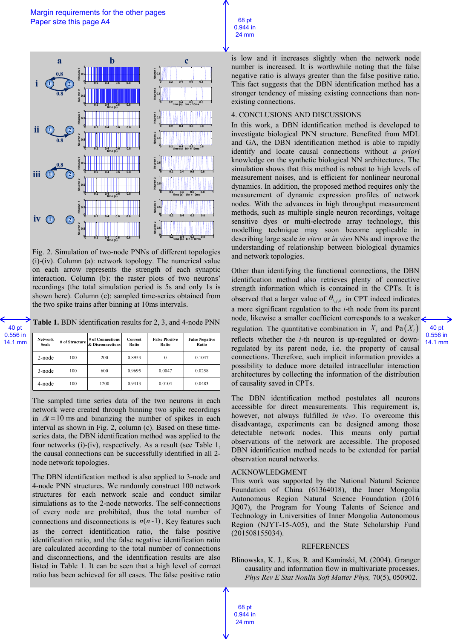

Fig. 2. Simulation of two-node PNNs of different topologies (i)-(iv). Column (a): network topology. The numerical value on each arrow represents the strength of each synaptic interaction. Column (b): the raster plots of two neurons' recordings (the total simulation period is 5s and only 1s is shown here). Column (c): sampled time-series obtained from the two spike trains after binning at 10ms intervals.

**Table 1.** BDN identification results for 2, 3, and 4-node PNN

40 pt 0.556 in 14.1 mm

| <b>Network</b><br>Scale | # of Structure | # of Connections<br>& Disconnections | Correct<br>Ratio | <b>False Plositve</b><br>Ratio | <b>False Negative</b><br>Ratio |
|-------------------------|----------------|--------------------------------------|------------------|--------------------------------|--------------------------------|
| $2$ -node               | 100            | 200                                  | 0.8953           | $\theta$                       | 0.1047                         |
| 3-node                  | 100            | 600                                  | 0.9695           | 0.0047                         | 0.0258                         |
| 4-node                  | 100            | 1200                                 | 0.9413           | 0.0104                         | 0.0483                         |

The sampled time series data of the two neurons in each network were created through binning two spike recordings in  $\Delta t = 10$  ms and binarizing the number of spikes in each interval as shown in Fig. 2, column (c). Based on these timeseries data, the DBN identification method was applied to the four networks (i)-(iv), respectively. As a result (see Table 1, the causal connections can be successfully identified in all 2 node network topologies.

The DBN identification method is also applied to 3-node and 4-node PNN structures. We randomly construct 100 network structures for each network scale and conduct similar simulations as to the 2-node networks. The self-connections of every node are prohibited, thus the total number of connections and disconnections is  $n(n-1)$ . Key features such as the correct identification ratio, the false positive identification ratio, and the false negative identification ratio are calculated according to the total number of connections and disconnections, and the identification results are also listed in Table 1. It can be seen that a high level of correct ratio has been achieved for all cases. The false positive ratio

is low and it increases slightly when the network node number is increased. It is worthwhile noting that the false negative ratio is always greater than the false positive ratio. This fact suggests that the DBN identification method has a stronger tendency of missing existing connections than nonexisting connections.

## 4. CONCLUSIONS AND DISCUSSIONS

68 pt 0.944 in 24 mm

In this work, a DBN identification method is developed to investigate biological PNN structure. Benefited from MDL and GA, the DBN identification method is able to rapidly identify and locate causal connections without *a priori* knowledge on the synthetic biological NN architectures. The simulation shows that this method is robust to high levels of measurement noises, and is efficient for nonlinear neuronal dynamics. In addition, the proposed method requires only the measurement of dynamic expression profiles of network nodes. With the advances in high throughput measurement methods, such as multiple single neuron recordings, voltage sensitive dyes or multi-electrode array technology, this modelling technique may soon become applicable in describing large scale *in vitro* or *in vivo* NNs and improve the understanding of relationship between biological dynamics and network topologies.

Other than identifying the functional connections, the DBN identification method also retrieves plenty of connective strength information which is contained in the CPTs. It is observed that a larger value of  $\theta_{i,j,k}$  in CPT indeed indicates a more significant regulation to the *i*-th node from its parent node, likewise a smaller coefficient corresponds to a weaker regulation. The quantitative combination in  $X_i$  and  $Pa(X_i)$ reflects whether the *i*-th neuron is up-regulated or downregulated by its parent node, i.e. the property of causal connections. Therefore, such implicit information provides a possibility to deduce more detailed intracellular interaction architectures by collecting the information of the distribution of causality saved in CPTs.

The DBN identification method postulates all neurons accessible for direct measurements. This requirement is, however, not always fulfilled *in vivo*. To overcome this disadvantage, experiments can be designed among those detectable network nodes. This means only partial observations of the network are accessible. The proposed DBN identification method needs to be extended for partial observation neural networks.

### ACKNOWLEDGMENT

This work was supported by the National Natural Science Foundation of China (61364018), the Inner Mongolia Autonomous Region Natural Science Foundation (2016 JQ07), the Program for Young Talents of Science and Technology in Universities of Inner Mongolia Autonomous Region (NJYT-15-A05), and the State Scholarship Fund (201508155034).

#### REFERENCES

Blinowska, K. J., Kus, R. and Kaminski, M. (2004). Granger causality and information flow in multivariate processes. *Phys Rev E Stat Nonlin Soft Matter Phys,* 70(5), 050902.